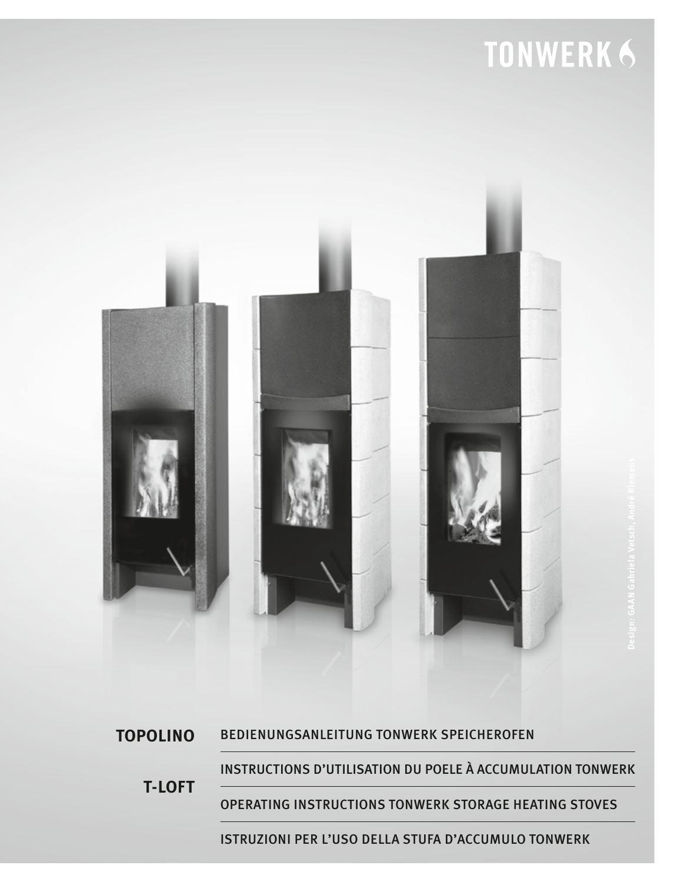# TONWERK 6



**T-LOFT**

OPERATING INSTRUCTIONS TONWERK STORAGE HEATING STOVES

ISTRUZIONI PER L'USO DELLA STUFA D'ACCUMULO TONWERK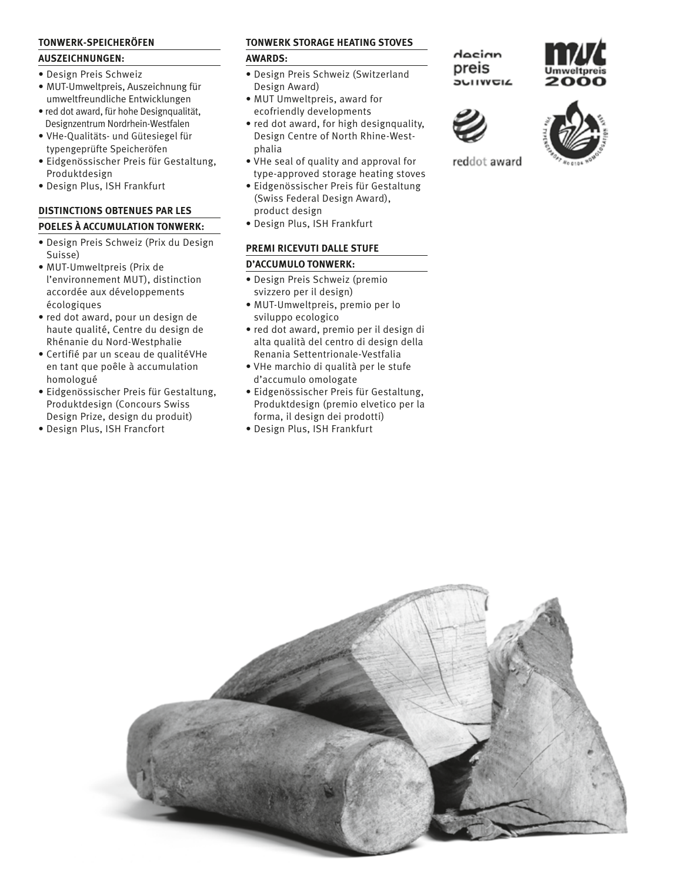#### **AUSZEICHNUNGEN:**

- Design Preis Schweiz
- MUT-Umweltpreis, Auszeichnung für umweltfreundliche Entwicklungen
- red dot award, für hohe Designqualität, Designzentrum Nordrhein-Westfalen
- VHe-Qualitäts- und Gütesiegel für typengeprüfte Speicheröfen
- Eidgenössischer Preis für Gestaltung, Produktdesign
- Design Plus, ISH Frankfurt

#### **DISTINCTIONS OBTENUES PAR LES**

#### **POELES À ACCUMULATION TONWERK:**

- Design Preis Schweiz (Prix du Design Suisse)
- **TOWERK-SPEICHERÖFEN**<br> **AUSTRICTIONS AND ANALYSTER (POSSIGNATIONS AREA CONSISTENT AND ANALYSTER) AND ANALYSTER (POSSIGNATIONS CONSISTENCING)<br>
AUSTRICTIONS CONSISTENCING (POSSIGNATIONS CONSISTENCING)<br>
THE COLORATION CONSIST** • MUT-Umweltpreis (Prix de l'environnement MUT), distinction accordée aux développements écologiques
- red dot award, pour un design de haute qualité, Centre du design de Rhénanie du Nord-Westphalie
- Certifié par un sceau de qualitéVHe en tant que poêle à accumulation homologué
- Eidgenössischer Preis für Gestaltung, Produktdesign (Concours Swiss Design Prize, design du produit)
- Design Plus, ISH Francfort

#### **TONWERK STORAGE HEATING STOVES**

#### **AWARDS:**

- Design Preis Schweiz (Switzerland Design Award)
- MUT Umweltpreis, award for ecofriendly developments
- red dot award, for high designquality, Design Centre of North Rhine-Westphalia
- VHe seal of quality and approval for type-approved storage heating stoves
- Eidgenössischer Preis für Gestaltung (Swiss Federal Design Award), product design
- Design Plus, ISH Frankfurt

## **PREMI RICEVUTI DALLE STUFE**

## **D'ACCUMULO TONWERK:**

- Design Preis Schweiz (premio svizzero per il design)
- MUT-Umweltpreis, premio per lo sviluppo ecologico
- red dot award, premio per il design di alta qualità del centro di design della Renania Settentrionale-Vestfalia
- VHe marchio di qualità per le stufe d'accumulo omologate
- Eidgenössischer Preis für Gestaltung, Produktdesign (premio elvetico per la forma, il design dei prodotti)
- Design Plus, ISH Frankfurt





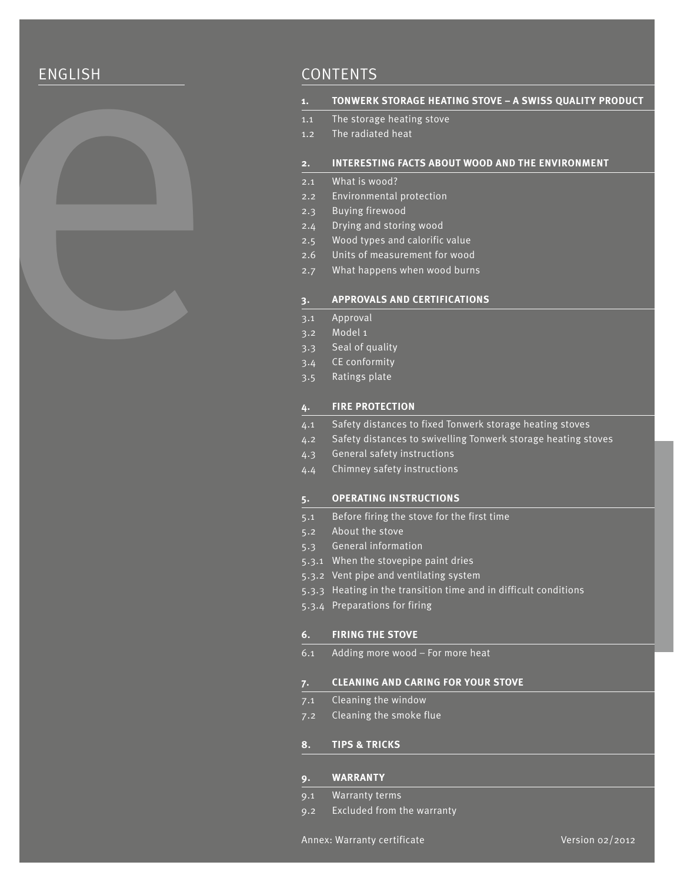

## ENGLISH CONTENTS

#### **1. TONWERK STORAGE HEATING STOVE – A SWISS QUALITY PRODUCT**

- 1.1 The storage heating stove
- 1.2 The radiated heat

#### **2. INTERESTING FACTS ABOUT WOOD AND THE ENVIRONMENT**

- 2.1 What is wood?
- 2.2 Environmental protection
- 2.3 Buying firewood
- 2.4 Drying and storing wood
- 2.5 Wood types and calorific value
- 2.6 Units of measurement for wood
- 2.7 What happens when wood burns

#### **3. APPROVALS AND CERTIFICATIONS**

- 3.1 Approval
- 3.2 Model 1
- $\overline{3.3}$  Seal of quality
- 3.4 CE conformity
- 3.5 Ratings plate

#### **4. FIRE PROTECTION**

- 4.1 Safety distances to fixed Tonwerk storage heating stoves
- 4.2 Safety distances to swivelling Tonwerk storage heating stoves
- 4.3 General safety instructions
- 4.4 Chimney safety instructions

#### **5. OPERATING INSTRUCTIONS**

- 5.1 Before firing the stove for the first time
- 5.2 About the stove
- 5.3 General information
- 5.3.1 When the stovepipe paint dries
- 5.3.2 Vent pipe and ventilating system
- 5.3.3 Heating in the transition time and in difficult conditions
- 5.3.4 Preparations for firing

#### **6. FIRING THE STOVE**

6.1 Adding more wood – For more heat

#### **7. CLEANING AND CARING FOR YOUR STOVE**

- 7.1 Cleaning the window
- 7.2 Cleaning the smoke flue

#### **8. TIPS & TRICKS**

#### **9. WARRANTY**

- 9.1 Warranty terms
- 9.2 Excluded from the warranty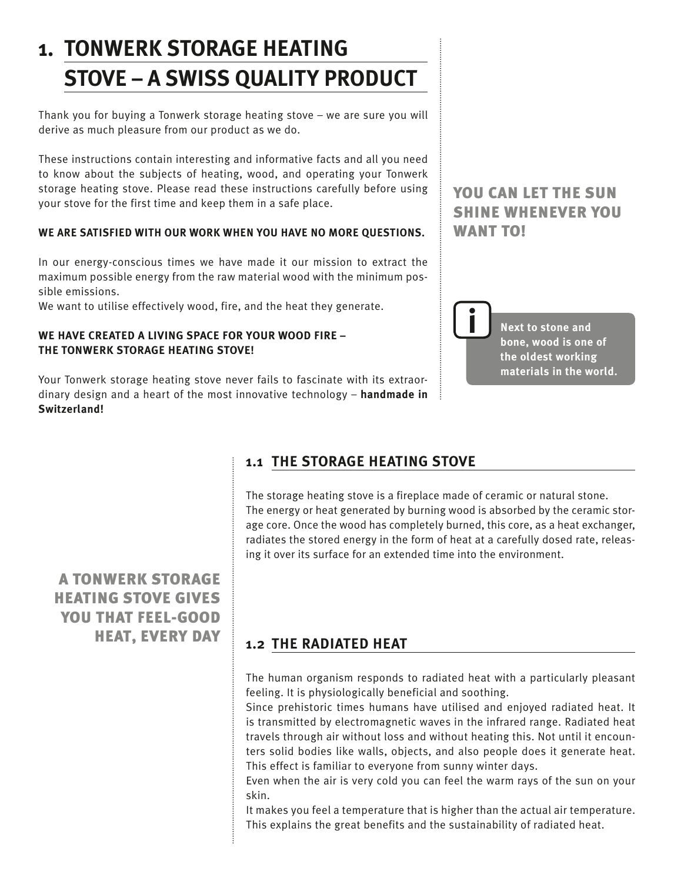## **1. TONWERK STORAGE HEATING STOVE – A SWISS QUALITY PRODUCT**

Thank you for buying a Tonwerk storage heating stove – we are sure you will derive as much pleasure from our product as we do.

These instructions contain interesting and informative facts and all you need to know about the subjects of heating, wood, and operating your Tonwerk storage heating stove. Please read these instructions carefully before using your stove for the first time and keep them in a safe place.

## **WE ARE SATISFIED WITH OUR WORK WHEN YOU HAVE NO MORE QUESTIONS.**

In our energy-conscious times we have made it our mission to extract the maximum possible energy from the raw material wood with the minimum possible emissions.

We want to utilise effectively wood, fire, and the heat they generate.

#### **WE HAVE CREATED A LIVING SPACE FOR YOUR WOOD FIRE – THE TONWERK STORAGE HEATING STOVE!**

Your Tonwerk storage heating stove never fails to fascinate with its extraordinary design and a heart of the most innovative technology – **handmade in Switzerland!**

## YOU CAN LET THE SUN SHINE WHENEVER YOU WANT TO!



## **1.1 THE STORAGE HEATING STOVE**

The storage heating stove is a fireplace made of ceramic or natural stone. The energy or heat generated by burning wood is absorbed by the ceramic storage core. Once the wood has completely burned, this core, as a heat exchanger, radiates the stored energy in the form of heat at a carefully dosed rate, releasing it over its surface for an extended time into the environment.

## A TONWERK STORAGE HEATING STOVE GIVES YOU THAT FEEL-GOOD HEAT, EVERY DAY

## **1.2 THE RADIATED HEAT**

The human organism responds to radiated heat with a particularly pleasant feeling. It is physiologically beneficial and soothing.

Since prehistoric times humans have utilised and enjoyed radiated heat. It is transmitted by electromagnetic waves in the infrared range. Radiated heat travels through air without loss and without heating this. Not until it encounters solid bodies like walls, objects, and also people does it generate heat. This effect is familiar to everyone from sunny winter days.

Even when the air is very cold you can feel the warm rays of the sun on your skin.

It makes you feel a temperature that is higher than the actual air temperature. This explains the great benefits and the sustainability of radiated heat.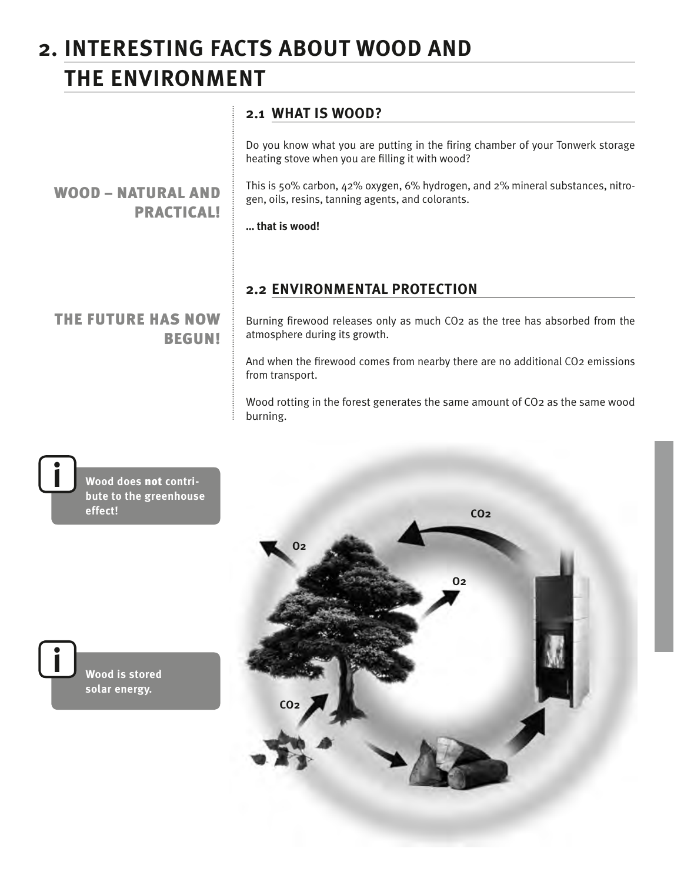# **2. INTERESTING FACTS ABOUT WOOD AND**

## **THE ENVIRONMENT**

PRACTICAL!

## **2.1 WHAT IS WOOD?**

Do you know what you are putting in the firing chamber of your Tonwerk storage heating stove when you are filling it with wood?

This is 50% carbon, 42% oxygen, 6% hydrogen, and 2% mineral substances, nitrogen, oils, resins, tanning agents, and colorants.

#### **… that is wood!**

## **2.2 ENVIRONMENTAL PROTECTION**

Burning firewood releases only as much CO2 as the tree has absorbed from the atmosphere during its growth.

And when the firewood comes from nearby there are no additional CO2 emissions from transport.

Wood rotting in the forest generates the same amount of CO2 as the same wood burning.



WOOD – NATURAL AND

## THE FUTURE HAS NOW BEGUN!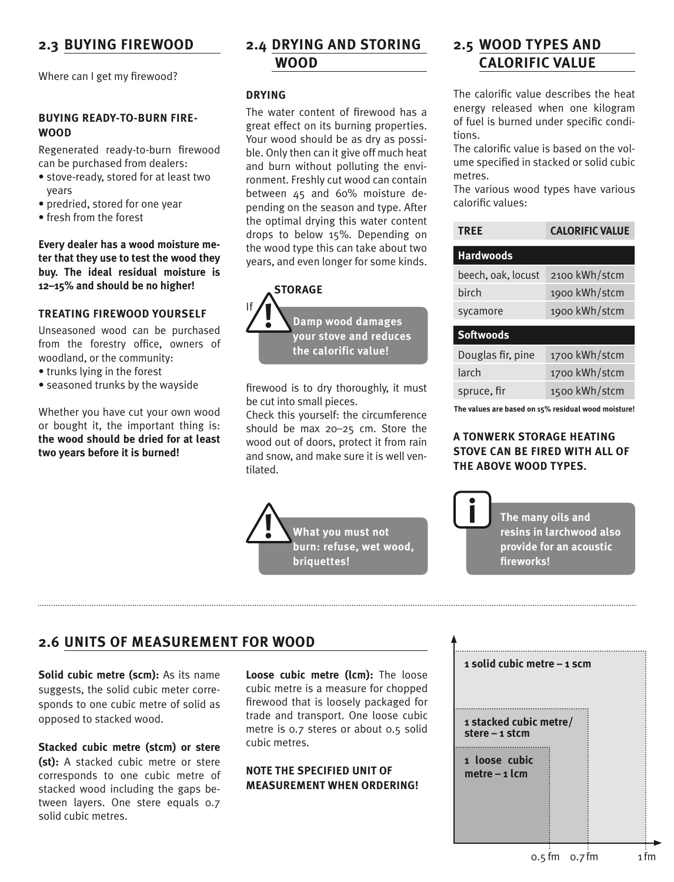## **2.3 BUYING FIREWOOD**

Where can I get my firewood?

#### **BUYING READY-TO-BURN FIRE-WOOD**

Regenerated ready-to-burn firewood can be purchased from dealers:

- stove-ready, stored for at least two years
- predried, stored for one year
- fresh from the forest

**Every dealer has a wood moisture meter that they use to test the wood they buy. The ideal residual moisture is 12–15% and should be no higher!**

#### **TREATING FIREWOOD YOURSELF**

Unseasoned wood can be purchased from the forestry office, owners of woodland, or the community:

- trunks lying in the forest
- seasoned trunks by the wayside

Whether you have cut your own wood or bought it, the important thing is: **the wood should be dried for at least two years before it is burned!**

## **2.4 DRYING AND STORING WOOD**

#### **DRYING**

The water content of firewood has a great effect on its burning properties. Your wood should be as dry as possible. Only then can it give off much heat and burn without polluting the environment. Freshly cut wood can contain between 45 and 60% moisture depending on the season and type. After the optimal drying this water content drops to below 15%. Depending on the wood type this can take about two years, and even longer for some kinds.

#### **STORAGE**

If



firewood is to dry thoroughly, it must be cut into small pieces.

Check this yourself: the circumference should be max 20–25 cm. Store the wood out of doors, protect it from rain and snow, and make sure it is well ventilated.



## **2.5 WOOD TYPES AND CALORIFIC VALUE**

The calorific value describes the heat energy released when one kilogram of fuel is burned under specific conditions.

The calorific value is based on the volume specified in stacked or solid cubic metres.

The various wood types have various calorific values:

| <b>TREE</b>        | <b>CALORIFIC VALUE</b> |
|--------------------|------------------------|
| <b>Hardwoods</b>   |                        |
| beech, oak, locust | 2100 kWh/stcm          |
| birch              | 1900 kWh/stcm          |
| sycamore           | 1900 kWh/stcm          |
| <b>Softwoods</b>   |                        |
| Douglas fir, pine  | 1700 kWh/stcm          |
| larch              | 1700 kWh/stcm          |
| spruce, fir        | 1500 kWh/stcm          |

**The values are based on 15% residual wood moisture!**

### **A TONWERK STORAGE HEATING STOVE CAN BE FIRED WITH ALL OF THE ABOVE WOOD TYPES.**



## **2.6 UNITS OF MEASUREMENT FOR WOOD**

**Solid cubic metre (scm):** As its name suggests, the solid cubic meter corresponds to one cubic metre of solid as opposed to stacked wood.

**Stacked cubic metre (stcm) or stere (st):** A stacked cubic metre or stere corresponds to one cubic metre of stacked wood including the gaps between layers. One stere equals 0.7 solid cubic metres.

**Loose cubic metre (lcm):** The loose cubic metre is a measure for chopped firewood that is loosely packaged for trade and transport. One loose cubic metre is 0.7 steres or about 0.5 solid cubic metres.

**NOTE THE SPECIFIED UNIT OF MEASUREMENT WHEN ORDERING!**

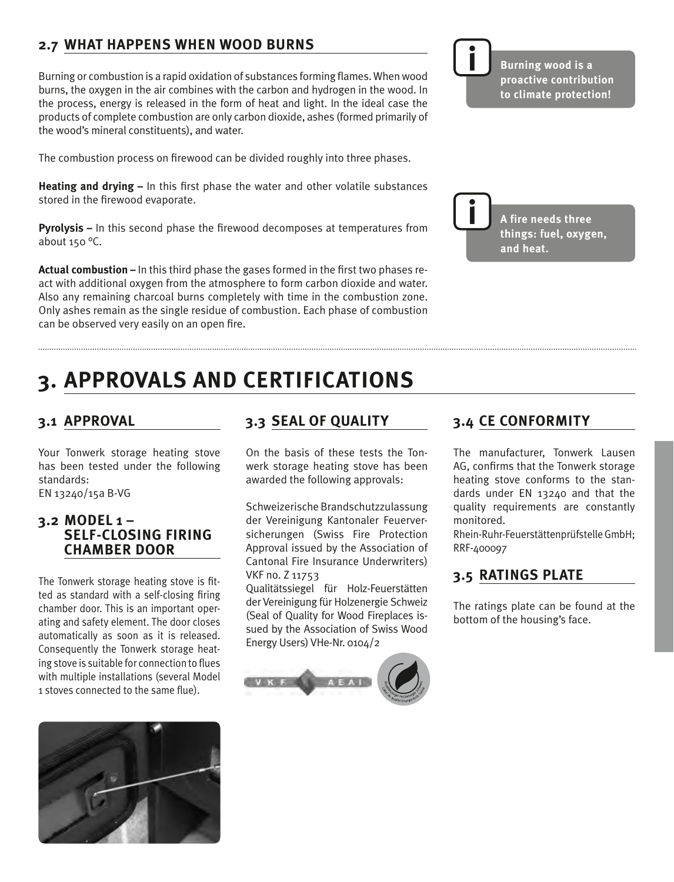## **2.7 WHAT HAPPENS WHEN WOOD BURNS**

Burning or combustion is a rapid oxidation of substances forming flames. When wood burns, the oxygen in the air combines with the carbon and hydrogen in the wood. In the process, energy is released in the form of heat and light. In the ideal case the products of complete combustion are only carbon dioxide, ashes (formed primarily of the wood's mineral constituents), and water.

The combustion process on firewood can be divided roughly into three phases.

**Heating and drying –** In this first phase the water and other volatile substances stored in the firewood evaporate.

**Pyrolysis –** In this second phase the firewood decomposes at temperatures from about 150 °C.

**Actual combustion –** In this third phase the gases formed in the first two phases react with additional oxygen from the atmosphere to form carbon dioxide and water. Also any remaining charcoal burns completely with time in the combustion zone. Only ashes remain as the single residue of combustion. Each phase of combustion can be observed very easily on an open fire.

**Burning wood is a proactive contribution to climate protection!**



**i**

**A fire needs three things: fuel, oxygen,**

## **3. APPROVALS AND CERTIFICATIONS**

## **3.1 APPROVAL**

Your Tonwerk storage heating stove has been tested under the following standards: EN 13240/15a B-VG

**3.2 MODEL 1 – self-closing firing chamber door**

The Tonwerk storage heating stove is fitted as standard with a self-closing firing chamber door. This is an important operating and safety element. The door closes automatically as soon as it is released. Consequently the Tonwerk storage heating stove is suitable for connection to flues with multiple installations (several Model 1 stoves connected to the same flue).



## **3.3 SEAL OF QUALITY**

On the basis of these tests the Tonwerk storage heating stove has been awarded the following approvals:

Schweizerische Brandschutzzulassung der Vereinigung Kantonaler Feuerversicherungen (Swiss Fire Protection Approval issued by the Association of Cantonal Fire Insurance Underwriters) VKF no. Z 11753

Qualitätssiegel für Holz-Feuerstätten der Vereinigung für Holzenergie Schweiz (Seal of Quality for Wood Fireplaces issued by the Association of Swiss Wood Energy Users) VHe-Nr. 0104/2



## **3.4 CE CONFORMITY**

The manufacturer, Tonwerk Lausen AG, confirms that the Tonwerk storage heating stove conforms to the standards under EN 13240 and that the quality requirements are constantly monitored.

Rhein-Ruhr-FeuerstättenprüfstelleGmbH; RRF-400097

## **3.5 RATINGS PLATE**

The ratings plate can be found at the bottom of the housing's face.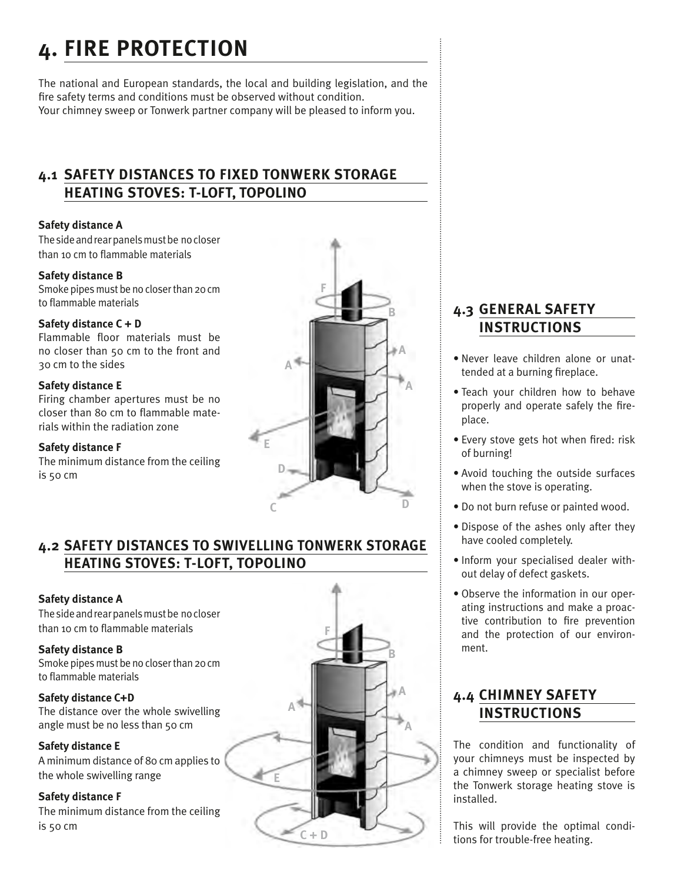# **4. FIRE PROTECTION**

The national and European standards, the local and building legislation, and the fire safety terms and conditions must be observed without condition. Your chimney sweep or Tonwerk partner company will be pleased to inform you.

## **4.1 SAFETY DISTANCES TO FIXED TONWERK STORAGE HEATING STOVES: T-LOFT, TOPOLINO**

### **Safety distance A**

The side and rear panels must be no closer than 10 cm to flammable materials

#### **Safety distance B**

Smoke pipes must be no closer than 20 cm to flammable materials

## **Safety distance C + D**

Flammable floor materials must be no closer than 50 cm to the front and 30 cm to the sides

### **Safety distance E**

Firing chamber apertures must be no closer than 80 cm to flammable materials within the radiation zone

**Safety** distance **F** 

The minimum distance from the ceiling is 50 cm



## **4.2 SAFETY DISTANCES TO SWIVELLING TONWERK STORAGE HEATING STOVES: T-LOFT, TOPOLINO**

## **Safety distance A**

The side and rear panels must be no closer than 10 cm to flammable materials

## **Safety distance B**

Smoke pipes must be no closer than 20 cm to flammable materials

**Safety distance C+D**  The distance over the whole swivelling angle must be no less than 50 cm

## **Safety distance E**

A minimum distance of 80 cm applies to the whole swivelling range

## **Safety distance F**

The minimum distance from the ceiling is 50 cm



## **4.3 GENERAL SAFETY INSTRUCTIONS**

- Never leave children alone or unattended at a burning fireplace.
- Teach your children how to behave properly and operate safely the fireplace.
- • Every stove gets hot when fired: risk of burning!
- Avoid touching the outside surfaces when the stove is operating.
- Do not burn refuse or painted wood.
- • Dispose of the ashes only after they have cooled completely.
- • Inform your specialised dealer without delay of defect gaskets.
- Observe the information in our operating instructions and make a proactive contribution to fire prevention and the protection of our environment.

## **4.4 CHIMNEY SAFETY INSTRUCTIONS**

The condition and functionality of your chimneys must be inspected by a chimney sweep or specialist before the Tonwerk storage heating stove is installed.

This will provide the optimal condi $t$  **ions** for trouble-free heating.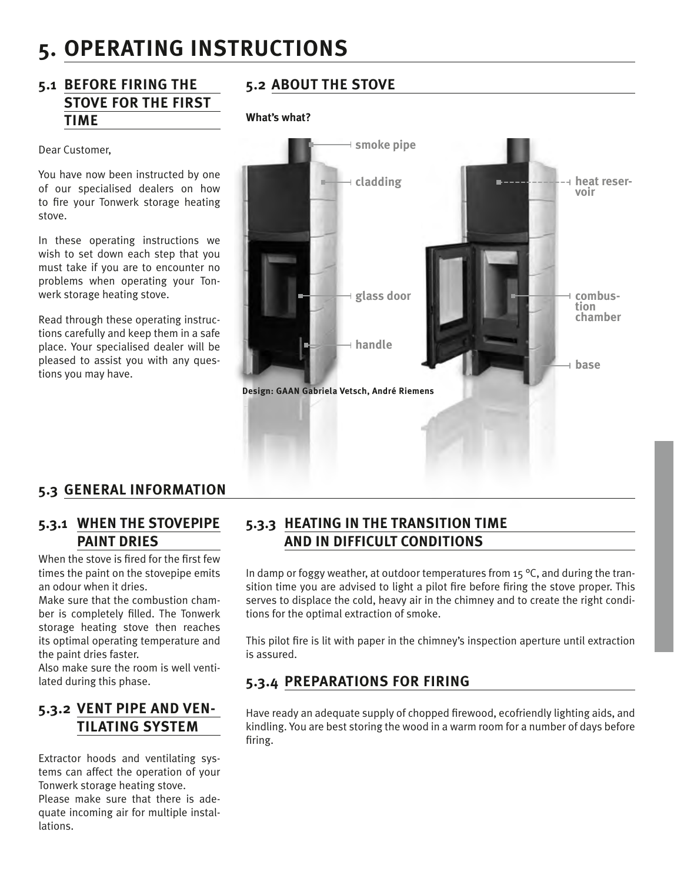## **5. OPERATING INSTRUCTIONS**

## **5.1 BEFORE FIRING THE STOVE FOR THE FIRST TIME**

Dear Customer,

You have now been instructed by one of our specialised dealers on how to fire your Tonwerk storage heating stove.

In these operating instructions we wish to set down each step that you must take if you are to encounter no problems when operating your Tonwerk storage heating stove.

Read through these operating instructions carefully and keep them in a safe place. Your specialised dealer will be pleased to assist you with any questions you may have.

## **5.2 ABOUT THE STOVE**

#### **What's what?**



## **5.3 GENERAL INFORMATION**

## **5.3.1 WHEN THE STOVEPIPE PAINT DRIES**

When the stove is fired for the first few times the paint on the stovepipe emits an odour when it dries.

Make sure that the combustion chamber is completely filled. The Tonwerk storage heating stove then reaches its optimal operating temperature and the paint dries faster.

Also make sure the room is well ventilated during this phase.

## **5.3.2 VENT PIPE AND VEN-TILATING SYSTEM**

Extractor hoods and ventilating systems can affect the operation of your Tonwerk storage heating stove. Please make sure that there is adequate incoming air for multiple installations.

## **5.3.3 HEATING IN THE TRANSITION TIME AND IN DIFFICULT CONDITIONS**

In damp or foggy weather, at outdoor temperatures from 15  $^{\circ}$ C, and during the transition time you are advised to light a pilot fire before firing the stove proper. This serves to displace the cold, heavy air in the chimney and to create the right conditions for the optimal extraction of smoke.

This pilot fire is lit with paper in the chimney's inspection aperture until extraction is assured.

## **5.3.4 PREPARATIONS FOR FIRING**

Have ready an adequate supply of chopped firewood, ecofriendly lighting aids, and kindling. You are best storing the wood in a warm room for a number of days before firing.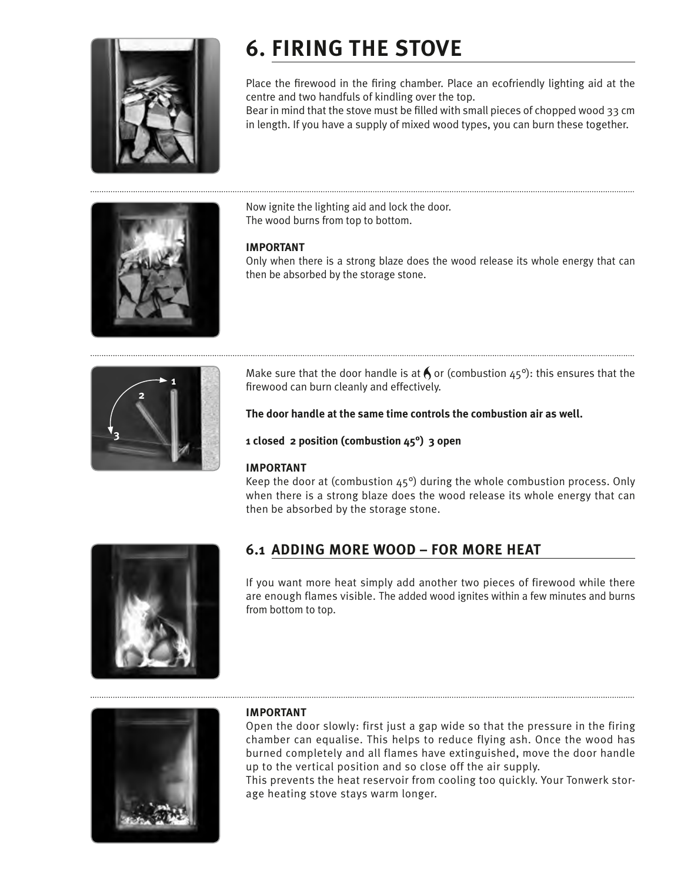

# **6. FIRING THE STOVE**

Place the firewood in the firing chamber. Place an ecofriendly lighting aid at the centre and two handfuls of kindling over the top.

Bear in mind that the stove must be filled with small pieces of chopped wood 33 cm in length. If you have a supply of mixed wood types, you can burn these together.



Now ignite the lighting aid and lock the door. The wood burns from top to bottom.

### **IMPORTANT**

Only when there is a strong blaze does the wood release its whole energy that can then be absorbed by the storage stone.



Make sure that the door handle is at  $\bigwedge$  or (combustion 45°): this ensures that the firewood can burn cleanly and effectively.

**The door handle at the same time controls the combustion air as well.**

**1 closed 2 position (combustion 45°) 3 open**

#### **IMPORTANT**

Keep the door at (combustion 45°) during the whole combustion process. Only when there is a strong blaze does the wood release its whole energy that can then be absorbed by the storage stone.



## **6.1 ADDING MORE WOOD – For more heat**

If you want more heat simply add another two pieces of firewood while there are enough flames visible. The added wood ignites within a few minutes and burns from bottom to top.



## **IMPORTANT**

Open the door slowly: first just a gap wide so that the pressure in the firing chamber can equalise. This helps to reduce flying ash. Once the wood has burned completely and all flames have extinguished, move the door handle up to the vertical position and so close off the air supply.

This prevents the heat reservoir from cooling too quickly. Your Tonwerk storage heating stove stays warm longer.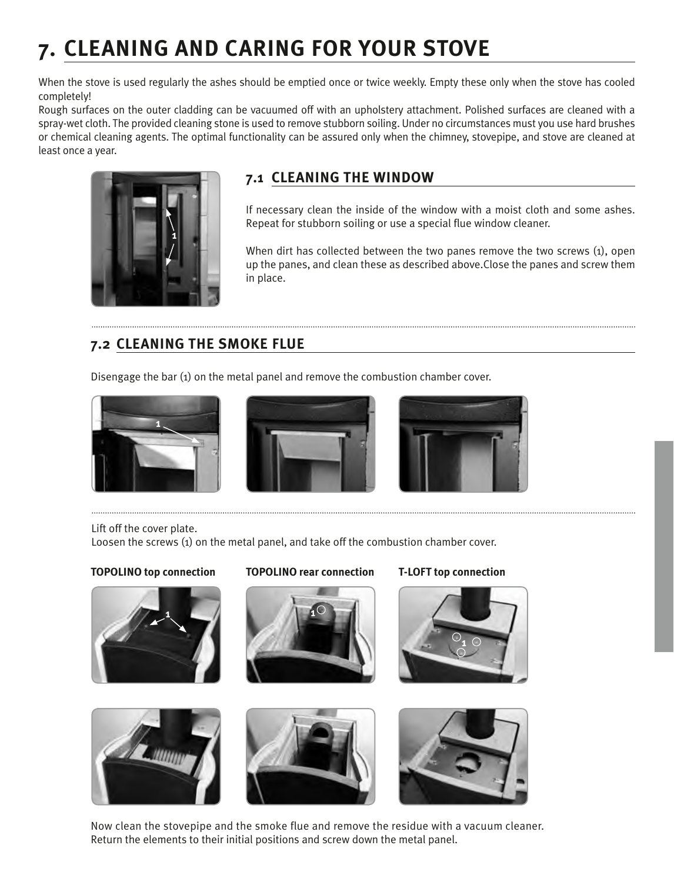## **7. CLEANING AND CARING FOR YOUR STOVE**

When the stove is used regularly the ashes should be emptied once or twice weekly. Empty these only when the stove has cooled completely!

Rough surfaces on the outer cladding can be vacuumed off with an upholstery attachment. Polished surfaces are cleaned with a spray-wet cloth. The provided cleaning stone is used to remove stubborn soiling. Under no circumstances must you use hard brushes or chemical cleaning agents. The optimal functionality can be assured only when the chimney, stovepipe, and stove are cleaned at least once a year.



## **7.1 CLEANING THE WINDOW**

If necessary clean the inside of the window with a moist cloth and some ashes. Repeat for stubborn soiling or use a special flue window cleaner.

When dirt has collected between the two panes remove the two screws (1), open up the panes, and clean these as described above.Close the panes and screw them in place.

## **7.2 CLEANING THE SMOKE FLUE**

Disengage the bar (1) on the metal panel and remove the combustion chamber cover.







Lift off the cover plate.

Loosen the screws (1) on the metal panel, and take off the combustion chamber cover.

## **TOPOLINO top connection TOPOLINO rear connection T-LOFT top connection**



Now clean the stovepipe and the smoke flue and remove the residue with a vacuum cleaner. Return the elements to their initial positions and screw down the metal panel.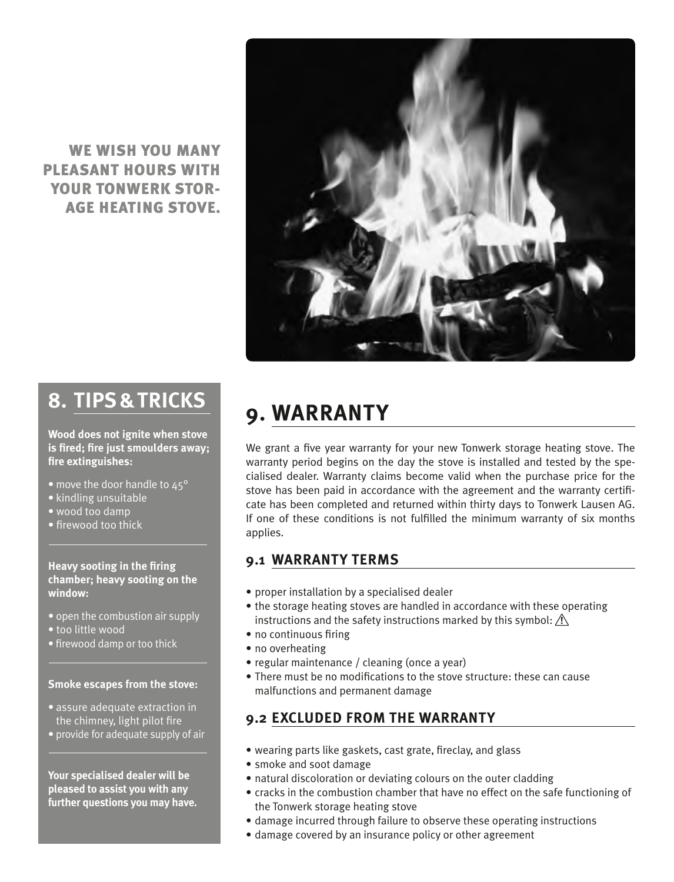WE WISH YOU MANY PLEASANT HOURS WITH YOUR TONWERK STOR-AGE HEATING STOVE.



## **8. Tips & tricks**

**Wood does not ignite when stove is fired; fire just smoulders away; fire extinguishes:**

- move the door handle to 45°
- kindling unsuitable
- wood too damp
- firewood too thick

#### **Heavy sooting in the firing chamber; heavy sooting on the window:**

- open the combustion air supply
- too little wood
- firewood damp or too thick

#### **Smoke escapes from the stove:**

- assure adequate extraction in the chimney, light pilot fire
- provide for adequate supply of air

**Your specialised dealer will be pleased to assist you with any further questions you may have.**

## **9. WARRANTY**

We grant a five year warranty for your new Tonwerk storage heating stove. The warranty period begins on the day the stove is installed and tested by the specialised dealer. Warranty claims become valid when the purchase price for the stove has been paid in accordance with the agreement and the warranty certificate has been completed and returned within thirty days to Tonwerk Lausen AG. If one of these conditions is not fulfilled the minimum warranty of six months applies.

## **9.1 Warranty terms**

- proper installation by a specialised dealer
- the storage heating stoves are handled in accordance with these operating instructions and the safety instructions marked by this symbol:  $\angle$
- no continuous firing
- no overheating
- regular maintenance / cleaning (once a year)
- There must be no modifications to the stove structure: these can cause malfunctions and permanent damage

## **9.2 Excluded from the warranty**

- wearing parts like gaskets, cast grate, fireclay, and glass
- smoke and soot damage
- natural discoloration or deviating colours on the outer cladding
- cracks in the combustion chamber that have no effect on the safe functioning of the Tonwerk storage heating stove
- damage incurred through failure to observe these operating instructions
- damage covered by an insurance policy or other agreement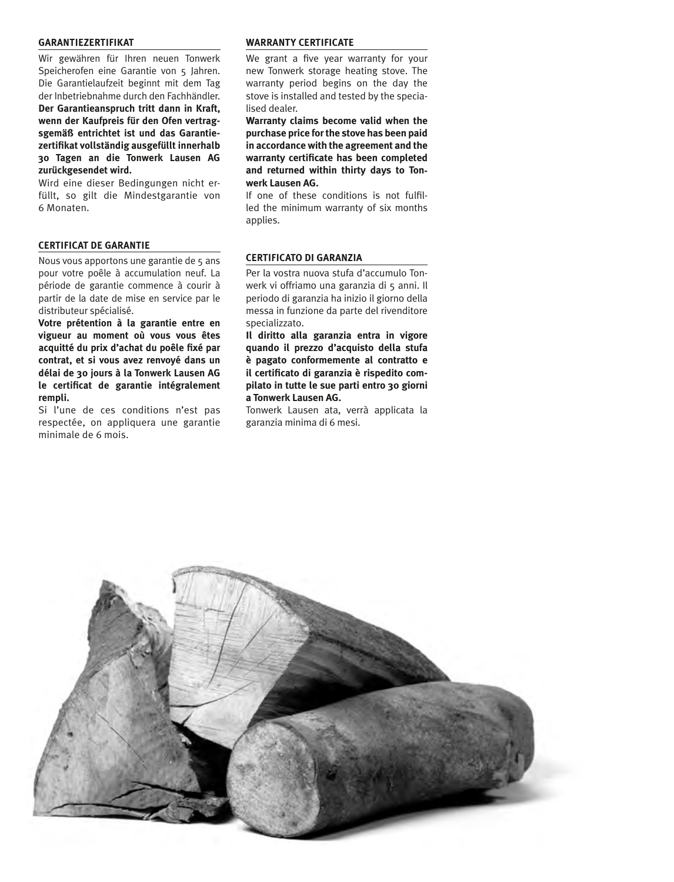#### **Garantiezertifikat**

Wir gewähren für Ihren neuen Tonwerk Speicherofen eine Garantie von 5 Jahren. Die Garantielaufzeit beginnt mit dem Tag der Inbetriebnahme durch den Fachhändler.

**Der Garantieanspruch tritt dann in Kraft, wenn der Kaufpreis für den Ofen vertragsgemäß entrichtet ist und das Garantiezertifikat vollständig ausgefüllt innerhalb 30 Tagen an die Tonwerk Lausen AG zurückgesendet wird.**

Wird eine dieser Bedingungen nicht erfüllt, so gilt die Mindestgarantie von 6 Monaten.

#### **Certificat de garantie**

Nous vous apportons une garantie de 5 ans pour votre poêle à accumulation neuf. La période de garantie commence à courir à partir de la date de mise en service par le distributeur spécialisé.

**Votre prétention à la garantie entre en vigueur au moment où vous vous êtes acquitté du prix d'achat du poêle fixé par contrat, et si vous avez renvoyé dans un délai de 30 jours à la Tonwerk Lausen AG le certificat de garantie intégralement rempli.** 

Si l'une de ces conditions n'est pas respectée, on appliquera une garantie minimale de 6 mois.

#### **Warranty certificate**

We grant a five year warranty for your new Tonwerk storage heating stove. The warranty period begins on the day the stove is installed and tested by the specialised dealer.

**Warranty claims become valid when the purchase price forthe stove has been paid in accordance with the agreement and the warranty certificate has been completed and returned within thirty days to Tonwerk Lausen AG.**

If one of these conditions is not fulfilled the minimum warranty of six months applies.

#### **certificato di garanzia**

Per la vostra nuova stufa d'accumulo Tonwerk vi offriamo una garanzia di 5 anni. Il periodo di garanzia ha inizio il giorno della messa in funzione da parte del rivenditore specializzato.

**Il diritto alla garanzia entra in vigore quando il prezzo d'acquisto della stufa è pagato conformemente al contratto e il certificato di garanzia è rispedito compilato in tutte le sue parti entro 30 giorni a Tonwerk Lausen AG.**

Tonwerk Lausen ata, verrà applicata la garanzia minima di 6 mesi.